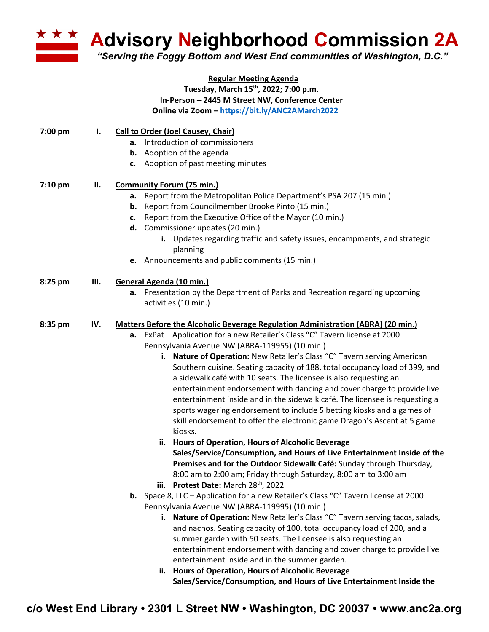

**Advisory Neighborhood Commission 2A** 

*"Serving the Foggy Bottom and West End communities of Washington, D.C."*

## **Regular Meeting Agenda Tuesday, March 15th, 2022; 7:00 p.m. In-Person – 2445 M Street NW, Conference Center Online via Zoom – https://bit.ly/ANC2AMarch2022**

| 7:00 pm   | ı.  | <b>Call to Order (Joel Causey, Chair)</b>                                                  |
|-----------|-----|--------------------------------------------------------------------------------------------|
|           |     | a. Introduction of commissioners                                                           |
|           |     | <b>b.</b> Adoption of the agenda                                                           |
|           |     | c. Adoption of past meeting minutes                                                        |
| $7:10$ pm | П.  | <b>Community Forum (75 min.)</b>                                                           |
|           |     | Report from the Metropolitan Police Department's PSA 207 (15 min.)<br>а.                   |
|           |     | Report from Councilmember Brooke Pinto (15 min.)<br>b.                                     |
|           |     | Report from the Executive Office of the Mayor (10 min.)<br>c.                              |
|           |     | d. Commissioner updates (20 min.)                                                          |
|           |     | i. Updates regarding traffic and safety issues, encampments, and strategic                 |
|           |     | planning                                                                                   |
|           |     | e. Announcements and public comments (15 min.)                                             |
| 8:25 pm   | Ш.  | General Agenda (10 min.)                                                                   |
|           |     | a. Presentation by the Department of Parks and Recreation regarding upcoming               |
|           |     | activities (10 min.)                                                                       |
| 8:35 pm   | IV. | <b>Matters Before the Alcoholic Beverage Regulation Administration (ABRA) (20 min.)</b>    |
|           |     | a. ExPat - Application for a new Retailer's Class "C" Tavern license at 2000               |
|           |     | Pennsylvania Avenue NW (ABRA-119955) (10 min.)                                             |
|           |     | i. Nature of Operation: New Retailer's Class "C" Tavern serving American                   |
|           |     | Southern cuisine. Seating capacity of 188, total occupancy load of 399, and                |
|           |     | a sidewalk café with 10 seats. The licensee is also requesting an                          |
|           |     | entertainment endorsement with dancing and cover charge to provide live                    |
|           |     | entertainment inside and in the sidewalk café. The licensee is requesting a                |
|           |     | sports wagering endorsement to include 5 betting kiosks and a games of                     |
|           |     | skill endorsement to offer the electronic game Dragon's Ascent at 5 game                   |
|           |     | kiosks.                                                                                    |
|           |     | ii. Hours of Operation, Hours of Alcoholic Beverage                                        |
|           |     | Sales/Service/Consumption, and Hours of Live Entertainment Inside of the                   |
|           |     | Premises and for the Outdoor Sidewalk Café: Sunday through Thursday,                       |
|           |     | 8:00 am to 2:00 am; Friday through Saturday, 8:00 am to 3:00 am                            |
|           |     | iii. Protest Date: March 28th, 2022                                                        |
|           |     | <b>b.</b> Space 8, LLC – Application for a new Retailer's Class "C" Tavern license at 2000 |
|           |     | Pennsylvania Avenue NW (ABRA-119995) (10 min.)                                             |
|           |     | i. Nature of Operation: New Retailer's Class "C" Tavern serving tacos, salads,             |
|           |     | and nachos. Seating capacity of 100, total occupancy load of 200, and a                    |
|           |     | summer garden with 50 seats. The licensee is also requesting an                            |
|           |     | entertainment endorsement with dancing and cover charge to provide live                    |
|           |     | entertainment inside and in the summer garden.                                             |
|           |     | ii. Hours of Operation, Hours of Alcoholic Beverage                                        |
|           |     | Sales/Service/Consumption, and Hours of Live Entertainment Inside the                      |